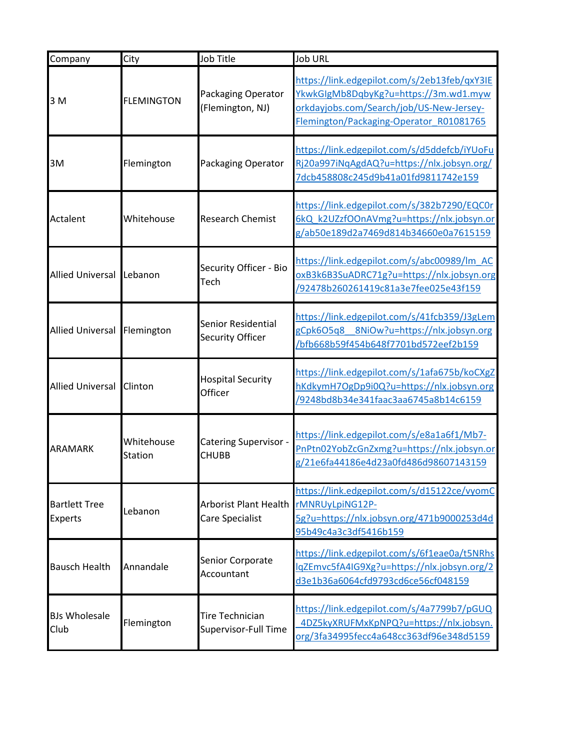| Company                                | City                         | Job Title                                      | Job URL                                                                                                                                                                      |
|----------------------------------------|------------------------------|------------------------------------------------|------------------------------------------------------------------------------------------------------------------------------------------------------------------------------|
| 3 M                                    | <b>FLEMINGTON</b>            | Packaging Operator<br>(Flemington, NJ)         | https://link.edgepilot.com/s/2eb13feb/qxY3IE<br>YkwkGIgMb8DqbyKg?u=https://3m.wd1.myw<br>orkdayjobs.com/Search/job/US-New-Jersey-<br>Flemington/Packaging-Operator R01081765 |
| 3M                                     | Flemington                   | Packaging Operator                             | https://link.edgepilot.com/s/d5ddefcb/iYUoFu<br>Rj20a997iNqAgdAQ?u=https://nlx.jobsyn.org/<br>7dcb458808c245d9b41a01fd9811742e159                                            |
| Actalent                               | Whitehouse                   | <b>Research Chemist</b>                        | https://link.edgepilot.com/s/382b7290/EQCOr<br>6kQ k2UZzfOOnAVmg?u=https://nlx.jobsyn.or<br>g/ab50e189d2a7469d814b34660e0a7615159                                            |
| <b>Allied Universal</b>                | Lebanon                      | Security Officer - Bio<br>Tech                 | https://link.edgepilot.com/s/abc00989/lm AC<br>oxB3k6B3SuADRC71g?u=https://nlx.jobsyn.org<br>/92478b260261419c81a3e7fee025e43f159                                            |
| <b>Allied Universal</b>                | Flemington                   | <b>Senior Residential</b><br>Security Officer  | https://link.edgepilot.com/s/41fcb359/J3gLem<br>8NiOw?u=https://nlx.jobsyn.org<br>gCpk6O5q8<br>/bfb668b59f454b648f7701bd572eef2b159                                          |
| <b>Allied Universal</b>                | Clinton                      | <b>Hospital Security</b><br>Officer            | https://link.edgepilot.com/s/1afa675b/koCXgZ<br>hKdkymH7OgDp9i0Q?u=https://nlx.jobsyn.org<br>/9248bd8b34e341faac3aa6745a8b14c6159                                            |
| <b>ARAMARK</b>                         | Whitehouse<br><b>Station</b> | Catering Supervisor -<br><b>CHUBB</b>          | https://link.edgepilot.com/s/e8a1a6f1/Mb7-<br>PnPtn02YobZcGnZxmg?u=https://nlx.jobsyn.or<br>g/21e6fa44186e4d23a0fd486d98607143159                                            |
| <b>Bartlett Tree</b><br><b>Experts</b> | Lebanon                      | Arborist Plant Health<br>Care Specialist       | https://link.edgepilot.com/s/d15122ce/vyomC<br>rMNRUyLpiNG12P-<br>5g?u=https://nlx.jobsyn.org/471b9000253d4d<br>95b49c4a3c3df5416b159                                        |
| <b>Bausch Health</b>                   | Annandale                    | Senior Corporate<br>Accountant                 | https://link.edgepilot.com/s/6f1eae0a/t5NRhs<br>lqZEmvc5fA4IG9Xg?u=https://nlx.jobsyn.org/2<br>d3e1b36a6064cfd9793cd6ce56cf048159                                            |
| <b>BJs Wholesale</b><br>Club           | Flemington                   | <b>Tire Technician</b><br>Supervisor-Full Time | https://link.edgepilot.com/s/4a7799b7/pGUQ<br>4DZ5kyXRUFMxKpNPQ?u=https://nlx.jobsyn.<br>org/3fa34995fecc4a648cc363df96e348d5159                                             |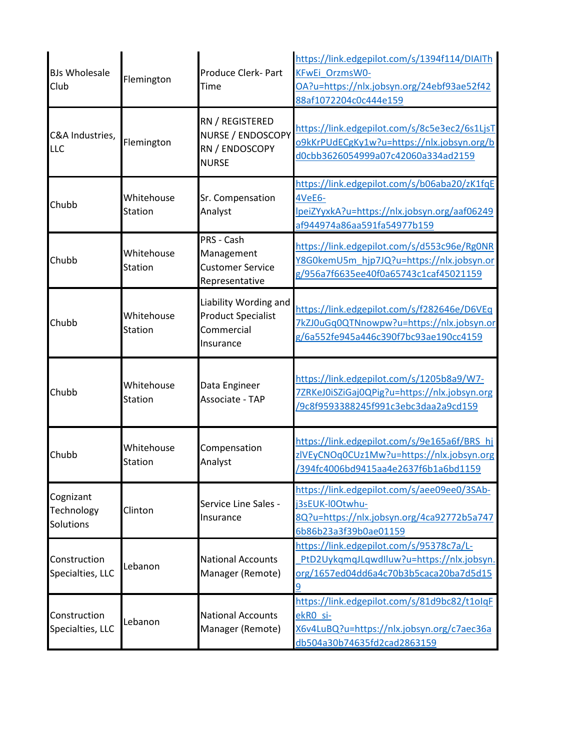| <b>BJs Wholesale</b><br>Club         | Flemington                   | Produce Clerk- Part<br>Time                                                   | https://link.edgepilot.com/s/1394f114/DIAITh<br>KFwEi OrzmsW0-<br>OA?u=https://nlx.jobsyn.org/24ebf93ae52f42<br>88af1072204c0c444e159 |
|--------------------------------------|------------------------------|-------------------------------------------------------------------------------|---------------------------------------------------------------------------------------------------------------------------------------|
| C&A Industries,<br>LLC               | Flemington                   | RN / REGISTERED<br>NURSE / ENDOSCOPY<br>RN / ENDOSCOPY<br><b>NURSE</b>        | https://link.edgepilot.com/s/8c5e3ec2/6s1LjsT<br>o9kKrPUdECgKy1w?u=https://nlx.jobsyn.org/b<br>d0cbb3626054999a07c42060a334ad2159     |
| Chubb                                | Whitehouse<br><b>Station</b> | Sr. Compensation<br>Analyst                                                   | https://link.edgepilot.com/s/b06aba20/zK1fqE<br>4VeE6-<br>IpeiZYyxkA?u=https://nlx.jobsyn.org/aaf06249<br>af944974a86aa591fa54977b159 |
| Chubb                                | Whitehouse<br>Station        | PRS - Cash<br>Management<br><b>Customer Service</b><br>Representative         | https://link.edgepilot.com/s/d553c96e/Rg0NR<br>Y8G0kemU5m hjp7JQ?u=https://nlx.jobsyn.or<br>g/956a7f6635ee40f0a65743c1caf45021159     |
| Chubb                                | Whitehouse<br><b>Station</b> | Liability Wording and<br><b>Product Specialist</b><br>Commercial<br>Insurance | https://link.edgepilot.com/s/f282646e/D6VEq<br>7kZJ0uGq0QTNnowpw?u=https://nlx.jobsyn.or<br>g/6a552fe945a446c390f7bc93ae190cc4159     |
| Chubb                                | Whitehouse<br>Station        | Data Engineer<br>Associate - TAP                                              | https://link.edgepilot.com/s/1205b8a9/W7-<br>7ZRKeJ0iSZiGaj0QPig?u=https://nlx.jobsyn.org<br>/9c8f9593388245f991c3ebc3daa2a9cd159     |
| Chubb                                | Whitehouse<br><b>Station</b> | Compensation<br>Analyst                                                       | https://link.edgepilot.com/s/9e165a6f/BRS_hj<br>zIVEyCNOq0CUz1Mw?u=https://nlx.jobsyn.org<br>/394fc4006bd9415aa4e2637f6b1a6bd1159     |
| Cognizant<br>Technology<br>Solutions | Clinton                      | Service Line Sales -<br>Insurance                                             | https://link.edgepilot.com/s/aee09ee0/3SAb-<br>j3sEUK-I0Otwhu-<br>8Q?u=https://nlx.jobsyn.org/4ca92772b5a747<br>6b86b23a3f39b0ae01159 |
| Construction<br>Specialties, LLC     | Lebanon                      | <b>National Accounts</b><br>Manager (Remote)                                  | https://link.edgepilot.com/s/95378c7a/L-<br>PtD2UykqmqJLqwdlluw?u=https://nlx.jobsyn.<br>org/1657ed04dd6a4c70b3b5caca20ba7d5d15       |
| Construction<br>Specialties, LLC     | Lebanon                      | <b>National Accounts</b><br>Manager (Remote)                                  | https://link.edgepilot.com/s/81d9bc82/t1olqF<br>ekRO si-<br>X6v4LuBQ?u=https://nlx.jobsyn.org/c7aec36a<br>db504a30b74635fd2cad2863159 |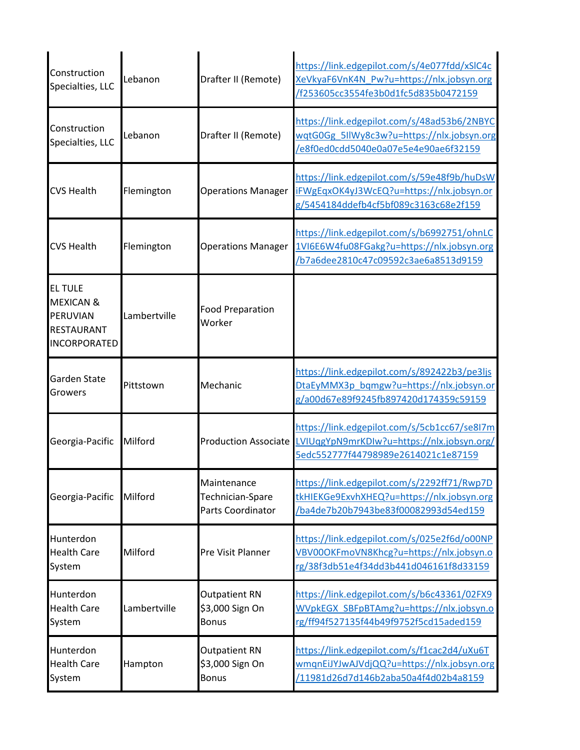| Construction<br>Specialties, LLC                                                               | Lebanon      | Drafter II (Remote)                                         | https://link.edgepilot.com/s/4e077fdd/xSlC4c<br>XeVkyaF6VnK4N Pw?u=https://nlx.jobsyn.org<br>/f253605cc3554fe3b0d1fc5d835b0472159 |
|------------------------------------------------------------------------------------------------|--------------|-------------------------------------------------------------|-----------------------------------------------------------------------------------------------------------------------------------|
| Construction<br>Specialties, LLC                                                               | Lebanon      | Drafter II (Remote)                                         | https://link.edgepilot.com/s/48ad53b6/2NBYC<br>wqtG0Gg 5IlWy8c3w?u=https://nlx.jobsyn.org<br>/e8f0ed0cdd5040e0a07e5e4e90ae6f32159 |
| <b>CVS Health</b>                                                                              | Flemington   | <b>Operations Manager</b>                                   | https://link.edgepilot.com/s/59e48f9b/huDsW<br>iFWgEqxOK4yJ3WcEQ?u=https://nlx.jobsyn.or<br>g/5454184ddefb4cf5bf089c3163c68e2f159 |
| <b>CVS Health</b>                                                                              | Flemington   | <b>Operations Manager</b>                                   | https://link.edgepilot.com/s/b6992751/ohnLC<br>1VI6E6W4fu08FGakg?u=https://nlx.jobsyn.org<br>b7a6dee2810c47c09592c3ae6a8513d9159  |
| <b>EL TULE</b><br><b>MEXICAN &amp;</b><br>PERUVIAN<br><b>RESTAURANT</b><br><b>INCORPORATED</b> | Lambertville | <b>Food Preparation</b><br>Worker                           |                                                                                                                                   |
| Garden State<br>Growers                                                                        | Pittstown    | Mechanic                                                    | https://link.edgepilot.com/s/892422b3/pe3ljs<br>DtaEyMMX3p bqmgw?u=https://nlx.jobsyn.or<br>g/a00d67e89f9245fb897420d174359c59159 |
| Georgia-Pacific                                                                                | Milford      | <b>Production Associate</b>                                 | https://link.edgepilot.com/s/5cb1cc67/se8I7m<br>LVIUqgYpN9mrKDIw?u=https://nlx.jobsyn.org/<br>5edc552777f44798989e2614021c1e87159 |
| Georgia-Pacific                                                                                | Milford      | Maintenance<br>Technician-Spare<br><b>Parts Coordinator</b> | https://link.edgepilot.com/s/2292ff71/Rwp7D<br>tkHIEKGe9ExvhXHEQ?u=https://nlx.jobsyn.org<br>/ba4de7b20b7943be83f00082993d54ed159 |
| Hunterdon<br><b>Health Care</b><br>System                                                      | Milford      | Pre Visit Planner                                           | https://link.edgepilot.com/s/025e2f6d/o00NP<br>VBV00OKFmoVN8Khcg?u=https://nlx.jobsyn.o<br>rg/38f3db51e4f34dd3b441d046161f8d33159 |
| Hunterdon<br><b>Health Care</b><br>System                                                      | Lambertville | <b>Outpatient RN</b><br>\$3,000 Sign On<br><b>Bonus</b>     | https://link.edgepilot.com/s/b6c43361/02FX9<br>WVpkEGX SBFpBTAmg?u=https://nlx.jobsyn.o<br>rg/ff94f527135f44b49f9752f5cd15aded159 |
| Hunterdon<br><b>Health Care</b><br>System                                                      | Hampton      | <b>Outpatient RN</b><br>\$3,000 Sign On<br><b>Bonus</b>     | https://link.edgepilot.com/s/f1cac2d4/uXu6T<br>wmqnEiJYJwAJVdjQQ?u=https://nlx.jobsyn.org<br>/11981d26d7d146b2aba50a4f4d02b4a8159 |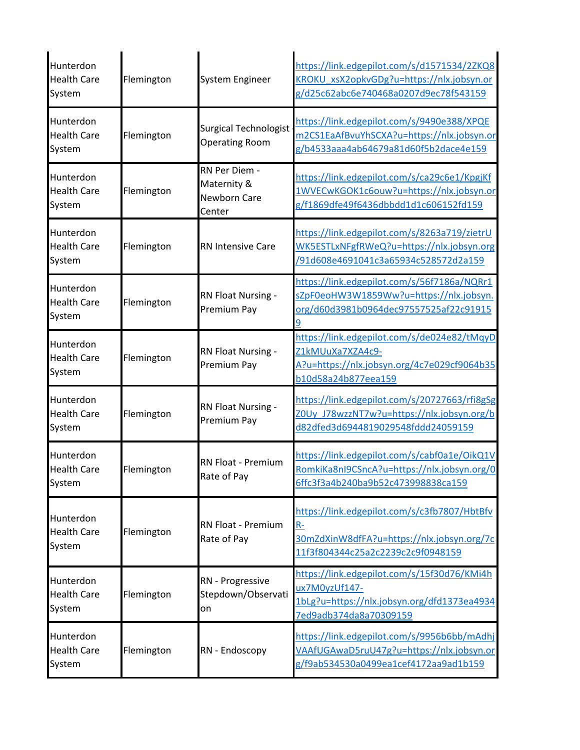| Hunterdon<br><b>Health Care</b><br>System | Flemington | System Engineer                                        | https://link.edgepilot.com/s/d1571534/2ZKQ8<br>KROKU xsX2opkvGDg?u=https://nlx.jobsyn.or<br>g/d25c62abc6e740468a0207d9ec78f543159       |
|-------------------------------------------|------------|--------------------------------------------------------|-----------------------------------------------------------------------------------------------------------------------------------------|
| Hunterdon<br><b>Health Care</b><br>System | Flemington | <b>Surgical Technologist</b><br><b>Operating Room</b>  | https://link.edgepilot.com/s/9490e388/XPQE<br>m2CS1EaAfBvuYhSCXA?u=https://nlx.jobsyn.or<br>g/b4533aaa4ab64679a81d60f5b2dace4e159       |
| Hunterdon<br><b>Health Care</b><br>System | Flemington | RN Per Diem -<br>Maternity &<br>Newborn Care<br>Center | https://link.edgepilot.com/s/ca29c6e1/KpgjKf<br>1WVECwKGOK1c6ouw?u=https://nlx.jobsyn.or<br>g/f1869dfe49f6436dbbdd1d1c606152fd159       |
| Hunterdon<br><b>Health Care</b><br>System | Flemington | <b>RN Intensive Care</b>                               | https://link.edgepilot.com/s/8263a719/zietrU<br>WK5ESTLxNFgfRWeQ?u=https://nlx.jobsyn.org<br>/91d608e4691041c3a65934c528572d2a159       |
| Hunterdon<br><b>Health Care</b><br>System | Flemington | RN Float Nursing -<br>Premium Pay                      | https://link.edgepilot.com/s/56f7186a/NQRr1<br>sZpF0eoHW3W1859Ww?u=https://nlx.jobsyn.<br>org/d60d3981b0964dec97557525af22c91915        |
| Hunterdon<br><b>Health Care</b><br>System | Flemington | RN Float Nursing -<br>Premium Pay                      | https://link.edgepilot.com/s/de024e82/tMqyD<br>Z1kMUuXa7XZA4c9-<br>A?u=https://nlx.jobsyn.org/4c7e029cf9064b35<br>b10d58a24b877eea159   |
| Hunterdon<br><b>Health Care</b><br>System | Flemington | RN Float Nursing -<br>Premium Pay                      | https://link.edgepilot.com/s/20727663/rfi8gSg<br>ZOUy J78wzzNT7w?u=https://nlx.jobsyn.org/b<br>d82dfed3d6944819029548fddd24059159       |
| Hunterdon<br><b>Health Care</b><br>System | Flemington | RN Float - Premium<br>Rate of Pay                      | https://link.edgepilot.com/s/cabf0a1e/OikQ1V<br>RomkiKa8nI9CSncA?u=https://nlx.jobsyn.org/0<br>6ffc3f3a4b240ba9b52c473998838ca159       |
| Hunterdon<br><b>Health Care</b><br>System | Flemington | RN Float - Premium<br>Rate of Pay                      | https://link.edgepilot.com/s/c3fb7807/HbtBfv<br>$R-$<br>30mZdXinW8dfFA?u=https://nlx.jobsyn.org/7c<br>11f3f804344c25a2c2239c2c9f0948159 |
| Hunterdon<br><b>Health Care</b><br>System | Flemington | RN - Progressive<br>Stepdown/Observati<br>on           | https://link.edgepilot.com/s/15f30d76/KMi4h<br>ux7M0yzUf147-<br>1bLg?u=https://nlx.jobsyn.org/dfd1373ea4934<br>7ed9adb374da8a70309159   |
| Hunterdon<br><b>Health Care</b><br>System | Flemington | RN - Endoscopy                                         | https://link.edgepilot.com/s/9956b6bb/mAdhj<br>VAAfUGAwaD5ruU47g?u=https://nlx.jobsyn.or<br>g/f9ab534530a0499ea1cef4172aa9ad1b159       |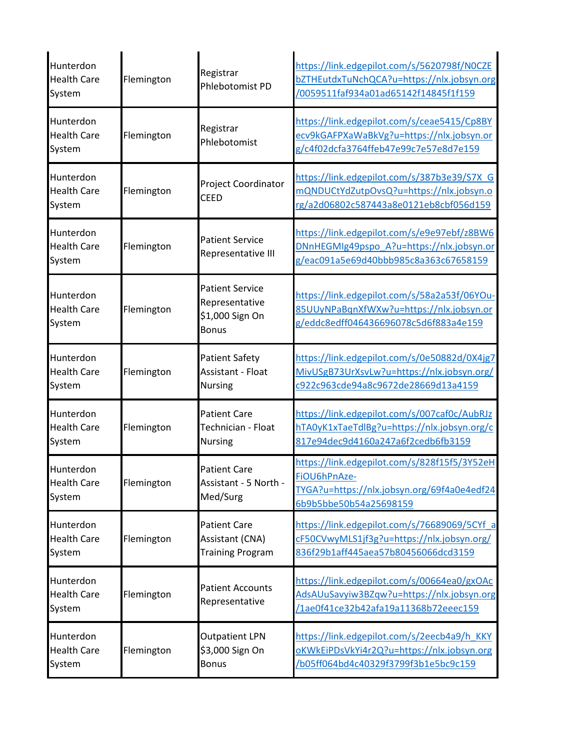| Hunterdon<br><b>Health Care</b><br>System | Flemington | Registrar<br>Phlebotomist PD                                                | https://link.edgepilot.com/s/5620798f/NOCZE<br>bZTHEutdxTuNchQCA?u=https://nlx.jobsyn.org<br>/0059511faf934a01ad65142f14845f1f159     |
|-------------------------------------------|------------|-----------------------------------------------------------------------------|---------------------------------------------------------------------------------------------------------------------------------------|
| Hunterdon<br><b>Health Care</b><br>System | Flemington | Registrar<br>Phlebotomist                                                   | https://link.edgepilot.com/s/ceae5415/Cp8BY<br>ecv9kGAFPXaWaBkVg?u=https://nlx.jobsyn.or<br>g/c4f02dcfa3764ffeb47e99c7e57e8d7e159     |
| Hunterdon<br><b>Health Care</b><br>System | Flemington | Project Coordinator<br><b>CEED</b>                                          | https://link.edgepilot.com/s/387b3e39/S7X G<br>mQNDUCtYdZutpOvsQ?u=https://nlx.jobsyn.o<br>rg/a2d06802c587443a8e0121eb8cbf056d159     |
| Hunterdon<br><b>Health Care</b><br>System | Flemington | <b>Patient Service</b><br>Representative III                                | https://link.edgepilot.com/s/e9e97ebf/z8BW6<br>DNnHEGMIg49pspo A?u=https://nlx.jobsyn.or<br>g/eac091a5e69d40bbb985c8a363c67658159     |
| Hunterdon<br><b>Health Care</b><br>System | Flemington | <b>Patient Service</b><br>Representative<br>\$1,000 Sign On<br><b>Bonus</b> | https://link.edgepilot.com/s/58a2a53f/06YOu-<br>85UUyNPaBqnXfWXw?u=https://nlx.jobsyn.or<br>g/eddc8edff046436696078c5d6f883a4e159     |
| Hunterdon<br><b>Health Care</b><br>System | Flemington | <b>Patient Safety</b><br>Assistant - Float<br><b>Nursing</b>                | https://link.edgepilot.com/s/0e50882d/0X4jg7<br>MivUSgB73UrXsvLw?u=https://nlx.jobsyn.org/<br>c922c963cde94a8c9672de28669d13a4159     |
| Hunterdon<br><b>Health Care</b><br>System | Flemington | <b>Patient Care</b><br>Technician - Float<br><b>Nursing</b>                 | https://link.edgepilot.com/s/007caf0c/AubRJz<br>hTA0yK1xTaeTdlBg?u=https://nlx.jobsyn.org/c<br>817e94dec9d4160a247a6f2cedb6fb3159     |
| Hunterdon<br><b>Health Care</b><br>System | Flemington | <b>Patient Care</b><br>Assistant - 5 North -<br>Med/Surg                    | https://link.edgepilot.com/s/828f15f5/3Y52eH<br>FiOU6hPnAze-<br>TYGA?u=https://nlx.jobsyn.org/69f4a0e4edf24<br>6b9b5bbe50b54a25698159 |
| Hunterdon<br><b>Health Care</b><br>System | Flemington | <b>Patient Care</b><br>Assistant (CNA)<br><b>Training Program</b>           | https://link.edgepilot.com/s/76689069/5CYf a<br>cF50CVwyMLS1jf3g?u=https://nlx.jobsyn.org/<br>836f29b1aff445aea57b80456066dcd3159     |
| Hunterdon<br><b>Health Care</b><br>System | Flemington | <b>Patient Accounts</b><br>Representative                                   | https://link.edgepilot.com/s/00664ea0/gxOAc<br>AdsAUuSavyiw3BZqw?u=https://nlx.jobsyn.org<br>/1ae0f41ce32b42afa19a11368b72eeec159     |
| Hunterdon<br><b>Health Care</b><br>System | Flemington | <b>Outpatient LPN</b><br>\$3,000 Sign On<br><b>Bonus</b>                    | https://link.edgepilot.com/s/2eecb4a9/h_KKY<br>oKWkEiPDsVkYi4r2Q?u=https://nlx.jobsyn.org<br>/b05ff064bd4c40329f3799f3b1e5bc9c159     |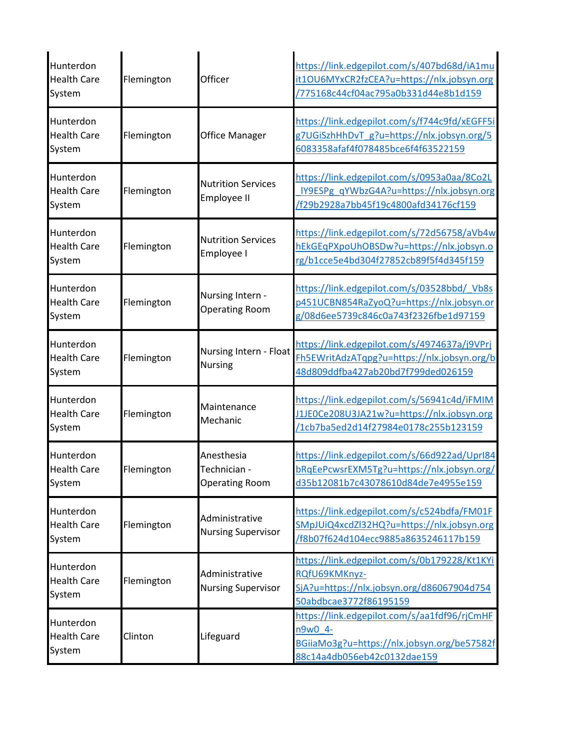| Hunterdon<br><b>Health Care</b><br>System | Flemington | Officer                                             | https://link.edgepilot.com/s/407bd68d/iA1mu<br>it1OU6MYxCR2fzCEA?u=https://nlx.jobsyn.org<br>775168c44cf04ac795a0b331d44e8b1d159      |
|-------------------------------------------|------------|-----------------------------------------------------|---------------------------------------------------------------------------------------------------------------------------------------|
| Hunterdon<br><b>Health Care</b><br>System | Flemington | <b>Office Manager</b>                               | https://link.edgepilot.com/s/f744c9fd/xEGFF5i<br>g7UGiSzhHhDvT g?u=https://nlx.jobsyn.org/5<br>6083358afaf4f078485bce6f4f63522159     |
| Hunterdon<br><b>Health Care</b><br>System | Flemington | <b>Nutrition Services</b><br>Employee II            | https://link.edgepilot.com/s/0953a0aa/8Co2L<br>IY9ESPg_qYWbzG4A?u=https://nlx.jobsyn.org<br>f29b2928a7bb45f19c4800afd34176cf159       |
| Hunterdon<br><b>Health Care</b><br>System | Flemington | <b>Nutrition Services</b><br>Employee I             | https://link.edgepilot.com/s/72d56758/aVb4w<br>hEkGEqPXpoUhOBSDw?u=https://nlx.jobsyn.o<br>rg/b1cce5e4bd304f27852cb89f5f4d345f159     |
| Hunterdon<br><b>Health Care</b><br>System | Flemington | Nursing Intern -<br><b>Operating Room</b>           | https://link.edgepilot.com/s/03528bbd/_Vb8s<br>p451UCBN854RaZyoQ?u=https://nlx.jobsyn.or<br>g/08d6ee5739c846c0a743f2326fbe1d97159     |
| Hunterdon<br><b>Health Care</b><br>System | Flemington | Nursing Intern - Float<br><b>Nursing</b>            | https://link.edgepilot.com/s/4974637a/j9VPrj<br>Fh5EWritAdzATqpg?u=https://nlx.jobsyn.org/b<br>48d809ddfba427ab20bd7f799ded026159     |
| Hunterdon<br><b>Health Care</b><br>System | Flemington | Maintenance<br>Mechanic                             | https://link.edgepilot.com/s/56941c4d/iFMIM<br>J1JE0Ce208U3JA21w?u=https://nlx.jobsyn.org<br>/1cb7ba5ed2d14f27984e0178c255b123159     |
| Hunterdon<br><b>Health Care</b><br>System | Flemington | Anesthesia<br>Technician -<br><b>Operating Room</b> | https://link.edgepilot.com/s/66d922ad/Uprl84<br>bRqEePcwsrEXM5Tg?u=https://nlx.jobsyn.org/<br>d35b12081b7c43078610d84de7e4955e159     |
| Hunterdon<br><b>Health Care</b><br>System | Flemington | Administrative<br><b>Nursing Supervisor</b>         | https://link.edgepilot.com/s/c524bdfa/FM01F<br>SMpJUiQ4xcdZl32HQ?u=https://nlx.jobsyn.org<br>/f8b07f624d104ecc9885a8635246117b159     |
| Hunterdon<br><b>Health Care</b><br>System | Flemington | Administrative<br><b>Nursing Supervisor</b>         | https://link.edgepilot.com/s/0b179228/Kt1KYi<br>RQfU69KMKnyz-<br>SjA?u=https://nlx.jobsyn.org/d86067904d754<br>50abdbcae3772f86195159 |
| Hunterdon<br><b>Health Care</b><br>System | Clinton    | Lifeguard                                           | https://link.edgepilot.com/s/aa1fdf96/rjCmHF<br>n9w0 4-<br>BGiiaMo3g?u=https://nlx.jobsyn.org/be57582f<br>88c14a4db056eb42c0132dae159 |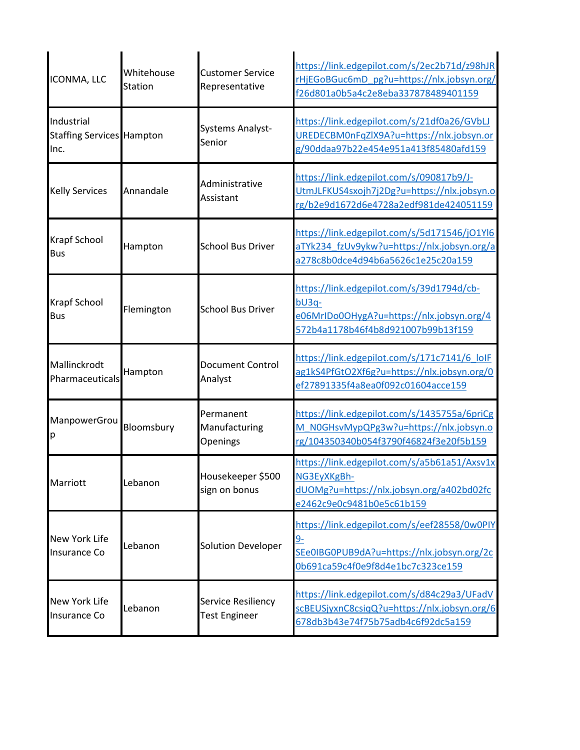| ICONMA, LLC                                            | Whitehouse<br><b>Station</b> | <b>Customer Service</b><br>Representative  | https://link.edgepilot.com/s/2ec2b71d/z98hJR<br>rHjEGoBGuc6mD pg?u=https://nlx.jobsyn.org/<br>f26d801a0b5a4c2e8eba337878489401159       |
|--------------------------------------------------------|------------------------------|--------------------------------------------|-----------------------------------------------------------------------------------------------------------------------------------------|
| Industrial<br><b>Staffing Services Hampton</b><br>Inc. |                              | <b>Systems Analyst-</b><br>Senior          | https://link.edgepilot.com/s/21df0a26/GVbLJ<br>UREDECBM0nFqZlX9A?u=https://nlx.jobsyn.or<br>g/90ddaa97b22e454e951a413f85480afd159       |
| <b>Kelly Services</b>                                  | Annandale                    | Administrative<br>Assistant                | https://link.edgepilot.com/s/090817b9/J-<br>UtmJLFKUS4sxojh7j2Dg?u=https://nlx.jobsyn.o<br>rg/b2e9d1672d6e4728a2edf981de424051159       |
| <b>Krapf School</b><br><b>Bus</b>                      | Hampton                      | <b>School Bus Driver</b>                   | https://link.edgepilot.com/s/5d171546/jO1Yl6<br>aTYk234 fzUv9ykw?u=https://nlx.jobsyn.org/a<br>a278c8b0dce4d94b6a5626c1e25c20a159       |
| Krapf School<br><b>Bus</b>                             | Flemington                   | <b>School Bus Driver</b>                   | https://link.edgepilot.com/s/39d1794d/cb-<br>$bU3q-$<br>e06MrIDo0OHygA?u=https://nlx.jobsyn.org/4<br>572b4a1178b46f4b8d921007b99b13f159 |
| Mallinckrodt<br>Pharmaceuticals                        | Hampton                      | <b>Document Control</b><br>Analyst         | https://link.edgepilot.com/s/171c7141/6 loIF<br>ag1kS4PfGtO2Xf6g?u=https://nlx.jobsyn.org/0<br>ef27891335f4a8ea0f092c01604acce159       |
| ManpowerGrou<br>р                                      | Bloomsbury                   | Permanent<br>Manufacturing<br>Openings     | https://link.edgepilot.com/s/1435755a/6priCg<br>M NOGHsvMypQPg3w?u=https://nlx.jobsyn.o<br>rg/104350340b054f3790f46824f3e20f5b159       |
| Marriott                                               | Lebanon                      | Housekeeper \$500<br>sign on bonus         | https://link.edgepilot.com/s/a5b61a51/Axsv1x<br>NG3EyXKgBh-<br>dUOMg?u=https://nlx.jobsyn.org/a402bd02fc<br>e2462c9e0c9481b0e5c61b159   |
| New York Life<br>Insurance Co                          | Lebanon                      | Solution Developer                         | https://link.edgepilot.com/s/eef28558/0w0PIY<br>$9-$<br>SEe0IBG0PUB9dA?u=https://nlx.jobsyn.org/2c<br>0b691ca59c4f0e9f8d4e1bc7c323ce159 |
| New York Life<br><b>Insurance Co</b>                   | Lebanon                      | Service Resiliency<br><b>Test Engineer</b> | https://link.edgepilot.com/s/d84c29a3/UFadV<br>scBEUSjyxnC8csiqQ?u=https://nlx.jobsyn.org/6<br>678db3b43e74f75b75adb4c6f92dc5a159       |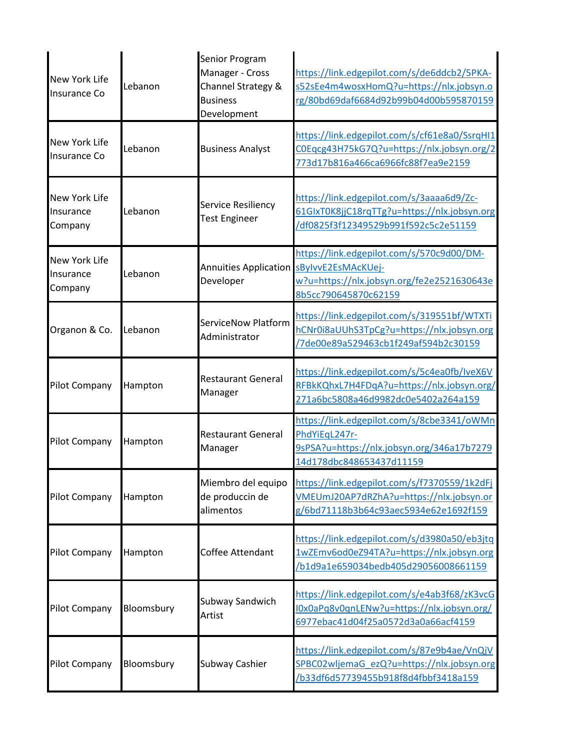| New York Life<br>Insurance Co                | Lebanon    | Senior Program<br>Manager - Cross<br>Channel Strategy &<br><b>Business</b><br>Development | https://link.edgepilot.com/s/de6ddcb2/5PKA-<br>s52sEe4m4wosxHomQ?u=https://nlx.jobsyn.o<br>rg/80bd69daf6684d92b99b04d00b595870159     |
|----------------------------------------------|------------|-------------------------------------------------------------------------------------------|---------------------------------------------------------------------------------------------------------------------------------------|
| New York Life<br>Insurance Co                | Lebanon    | <b>Business Analyst</b>                                                                   | https://link.edgepilot.com/s/cf61e8a0/SsrqHI1<br>COEqcg43H75kG7Q?u=https://nlx.jobsyn.org/2<br>773d17b816a466ca6966fc88f7ea9e2159     |
| New York Life<br>Insurance<br>Company        | Lebanon    | Service Resiliency<br><b>Test Engineer</b>                                                | https://link.edgepilot.com/s/3aaaa6d9/Zc-<br>61GlxT0K8jjC18rqTTg?u=https://nlx.jobsyn.org<br>df0825f3f12349529b991f592c5c2e51159      |
| <b>New York Life</b><br>Insurance<br>Company | Lebanon    | Annuities Application<br>Developer                                                        | https://link.edgepilot.com/s/570c9d00/DM-<br>sBylvvE2EsMAcKUej-<br>w?u=https://nlx.jobsyn.org/fe2e2521630643e<br>8b5cc790645870c62159 |
| Organon & Co.                                | Lebanon    | ServiceNow Platform<br>Administrator                                                      | https://link.edgepilot.com/s/319551bf/WTXTi<br>hCNr0i8aUUhS3TpCg?u=https://nlx.jobsyn.org<br>7de00e89a529463cb1f249af594b2c30159      |
| <b>Pilot Company</b>                         | Hampton    | <b>Restaurant General</b><br>Manager                                                      | https://link.edgepilot.com/s/5c4ea0fb/IveX6V<br>RFBkKQhxL7H4FDqA?u=https://nlx.jobsyn.org/<br>271a6bc5808a46d9982dc0e5402a264a159     |
| <b>Pilot Company</b>                         | Hampton    | <b>Restaurant General</b><br>Manager                                                      | https://link.edgepilot.com/s/8cbe3341/oWMn<br>PhdYiEqL247r-<br>9sPSA?u=https://nlx.jobsyn.org/346a17b7279<br>14d178dbc848653437d11159 |
| <b>Pilot Company</b>                         | Hampton    | Miembro del equipo<br>de produccin de<br>alimentos                                        | https://link.edgepilot.com/s/f7370559/1k2dFj<br>VMEUmJ20AP7dRZhA?u=https://nlx.jobsyn.or<br>g/6bd71118b3b64c93aec5934e62e1692f159     |
| <b>Pilot Company</b>                         | Hampton    | <b>Coffee Attendant</b>                                                                   | https://link.edgepilot.com/s/d3980a50/eb3jtq<br>1wZEmv6od0eZ94TA?u=https://nlx.jobsyn.org<br>b1d9a1e659034bedb405d29056008661159      |
| <b>Pilot Company</b>                         | Bloomsbury | Subway Sandwich<br>Artist                                                                 | https://link.edgepilot.com/s/e4ab3f68/zK3vcG<br>l0x0aPq8v0qnLENw?u=https://nlx.jobsyn.org/<br>6977ebac41d04f25a0572d3a0a66acf4159     |
| <b>Pilot Company</b>                         | Bloomsbury | Subway Cashier                                                                            | https://link.edgepilot.com/s/87e9b4ae/VnQjV<br>SPBC02wljemaG ezQ?u=https://nlx.jobsyn.org<br>b33df6d57739455b918f8d4fbbf3418a159      |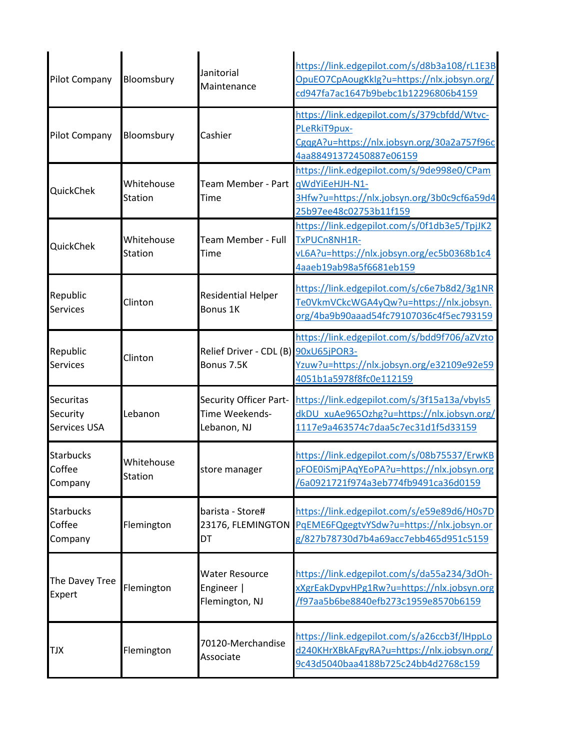| <b>Pilot Company</b>                  | Bloomsbury                   | Janitorial<br>Maintenance                                      | https://link.edgepilot.com/s/d8b3a108/rL1E3B<br>OpuEO7CpAougKkIg?u=https://nlx.jobsyn.org/<br>cd947fa7ac1647b9bebc1b12296806b4159     |
|---------------------------------------|------------------------------|----------------------------------------------------------------|---------------------------------------------------------------------------------------------------------------------------------------|
| <b>Pilot Company</b>                  | Bloomsbury                   | Cashier                                                        | https://link.edgepilot.com/s/379cbfdd/Wtvc-<br>PLeRkiT9pux-<br>CgqgA?u=https://nlx.jobsyn.org/30a2a757f96c<br>4aa88491372450887e06159 |
| QuickChek                             | Whitehouse<br><b>Station</b> | Team Member - Part<br>Time                                     | https://link.edgepilot.com/s/9de998e0/CPam<br>qWdYiEeHJH-N1-<br>3Hfw?u=https://nlx.jobsyn.org/3b0c9cf6a59d4<br>25b97ee48c02753b11f159 |
| QuickChek                             | Whitehouse<br><b>Station</b> | Team Member - Full<br>Time                                     | https://link.edgepilot.com/s/0f1db3e5/TpjJK2<br>TxPUCn8NH1R-<br>vL6A?u=https://nlx.jobsyn.org/ec5b0368b1c4<br>4aaeb19ab98a5f6681eb159 |
| Republic<br><b>Services</b>           | Clinton                      | <b>Residential Helper</b><br>Bonus 1K                          | https://link.edgepilot.com/s/c6e7b8d2/3g1NR<br>Te0VkmVCkcWGA4yQw?u=https://nlx.jobsyn.<br>org/4ba9b90aaad54fc79107036c4f5ec793159     |
| Republic<br><b>Services</b>           | Clinton                      | Relief Driver - CDL (B) 90xU65jPOR3-<br>Bonus 7.5K             | https://link.edgepilot.com/s/bdd9f706/aZVzto<br>Yzuw?u=https://nlx.jobsyn.org/e32109e92e59<br>4051b1a5978f8fc0e112159                 |
| Securitas<br>Security<br>Services USA | Lebanon                      | <b>Security Officer Part-</b><br>Time Weekends-<br>Lebanon, NJ | https://link.edgepilot.com/s/3f15a13a/vbyls5<br>dkDU xuAe965Ozhg?u=https://nlx.jobsyn.org/<br>1117e9a463574c7daa5c7ec31d1f5d33159     |
| <b>Starbucks</b><br>Coffee<br>Company | Whitehouse<br><b>Station</b> | store manager                                                  | https://link.edgepilot.com/s/08b75537/ErwKB<br>pFOE0iSmjPAqYEoPA?u=https://nlx.jobsyn.org<br>/6a0921721f974a3eb774fb9491ca36d0159     |
| <b>Starbucks</b><br>Coffee<br>Company | Flemington                   | barista - Store#<br>23176, FLEMINGTON<br>DT                    | https://link.edgepilot.com/s/e59e89d6/H0s7D<br>PqEME6FQgegtvYSdw?u=https://nlx.jobsyn.or<br>g/827b78730d7b4a69acc7ebb465d951c5159     |
| The Davey Tree<br>Expert              | Flemington                   | <b>Water Resource</b><br>Engineer  <br>Flemington, NJ          | https://link.edgepilot.com/s/da55a234/3dOh-<br>xXgrEakDypvHPg1Rw?u=https://nlx.jobsyn.org<br>/f97aa5b6be8840efb273c1959e8570b6159     |
| TJX                                   | Flemington                   | 70120-Merchandise<br>Associate                                 | https://link.edgepilot.com/s/a26ccb3f/lHppLo<br>d240KHrXBkAFgyRA?u=https://nlx.jobsyn.org/<br>9c43d5040baa4188b725c24bb4d2768c159     |